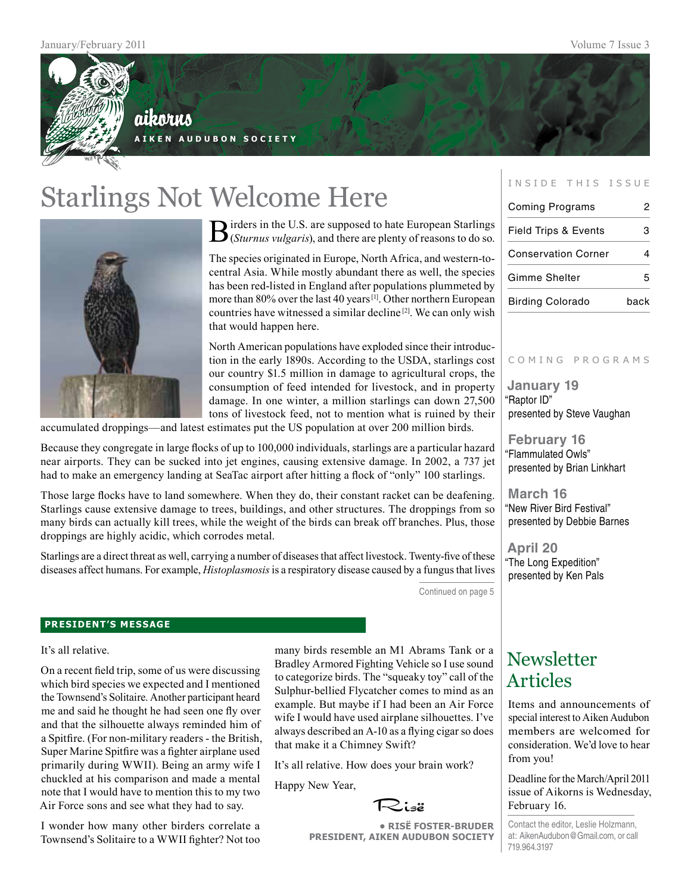

### aikorus **A i k e n A u d u b o n S o c i e t y**

Starlings Not Welcome Here



Birders in the U.S. are supposed to hate European Starlings (*Sturnus vulgaris*), and there are plenty of reasons to do so.

The species originated in Europe, North Africa, and western-tocentral Asia. While mostly abundant there as well, the species has been red-listed in England after populations plummeted by more than 80% over the last 40 years [1]. Other northern European countries have witnessed a similar decline [2]. We can only wish that would happen here.

North American populations have exploded since their introduction in the early 1890s. According to the USDA, starlings cost our country \$1.5 million in damage to agricultural crops, the consumption of feed intended for livestock, and in property damage. In one winter, a million starlings can down 27,500 tons of livestock feed, not to mention what is ruined by their

accumulated droppings—and latest estimates put the US population at over 200 million birds.

Because they congregate in large flocks of up to 100,000 individuals, starlings are a particular hazard near airports. They can be sucked into jet engines, causing extensive damage. In 2002, a 737 jet had to make an emergency landing at SeaTac airport after hitting a flock of "only" 100 starlings.

Those large flocks have to land somewhere. When they do, their constant racket can be deafening. Starlings cause extensive damage to trees, buildings, and other structures. The droppings from so many birds can actually kill trees, while the weight of the birds can break off branches. Plus, those droppings are highly acidic, which corrodes metal.

Starlings are a direct threat as well, carrying a number of diseases that affect livestock. Twenty-five of these diseases affect humans. For example, *Histoplasmosis* is a respiratory disease caused by a fungus that lives

Continued on page 5

#### **president's message**

It's all relative.

On a recent field trip, some of us were discussing which bird species we expected and I mentioned the Townsend's Solitaire. Another participant heard me and said he thought he had seen one fly over and that the silhouette always reminded him of a Spitfire. (For non-military readers - the British, Super Marine Spitfire was a fighter airplane used primarily during WWII). Being an army wife I chuckled at his comparison and made a mental note that I would have to mention this to my two Air Force sons and see what they had to say.

I wonder how many other birders correlate a Townsend's Solitaire to a WWII fighter? Not too many birds resemble an M1 Abrams Tank or a Bradley Armored Fighting Vehicle so I use sound to categorize birds. The "squeaky toy" call of the Sulphur-bellied Flycatcher comes to mind as an example. But maybe if I had been an Air Force wife I would have used airplane silhouettes. I've always described an A-10 as a flying cigar so does that make it a Chimney Swift?

It's all relative. How does your brain work?

Happy New Year,



**• RisË Foster-Bruder President, Aiken Audubon Society**

#### INSIDE THIS ISSUE

| <b>Coming Programs</b>          | 2    |
|---------------------------------|------|
| <b>Field Trips &amp; Events</b> | 3    |
| <b>Conservation Corner</b>      |      |
| <b>Gimme Shelter</b>            |      |
| <b>Birding Colorado</b>         | back |

#### C o m i n g p r o g r a m s

**January 19** "Raptor ID" presented by Steve Vaughan

**February 16** "Flammulated Owls" presented by Brian Linkhart

**March 16** "New River Bird Festival" presented by Debbie Barnes

**April 20** "The Long Expedition" presented by Ken Pals

### **Newsletter** Articles

Items and announcements of special interest to Aiken Audubon members are welcomed for consideration. We'd love to hear from you!

Deadline for the March/April 2011 issue of Aikorns is Wednesday, February 16.

Contact the editor, Leslie Holzmann, at: AikenAudubon@Gmail.com, or call 719.964.3197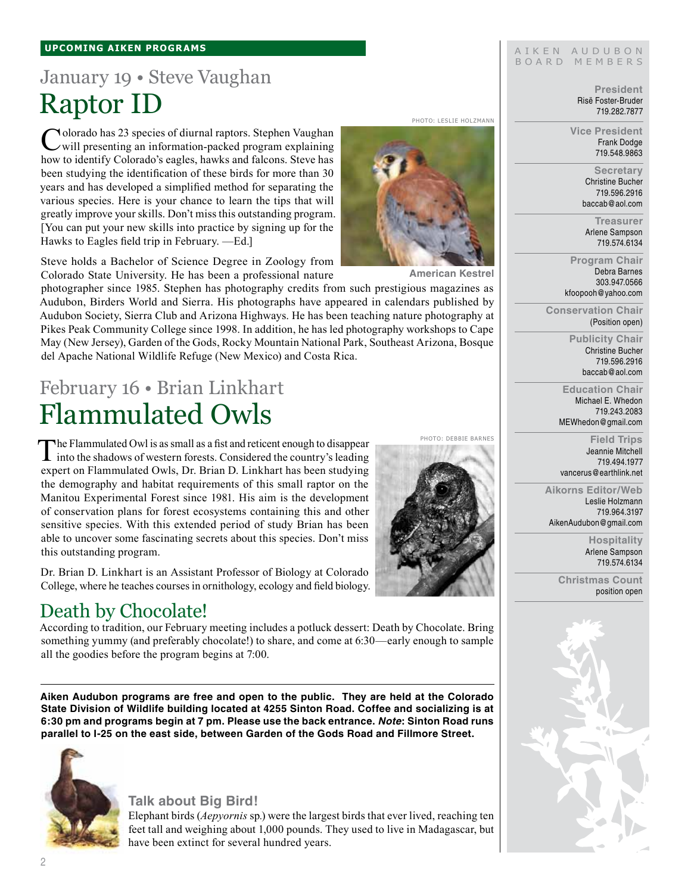#### **upcoming aiken Programs**

## January 19 • Steve Vaughan Raptor ID

Colorado has 23 species of diurnal raptors. Stephen Vaughan will presenting an information-packed program explaining how to identify Colorado's eagles, hawks and falcons. Steve has been studying the identification of these birds for more than 30 years and has developed a simplified method for separating the various species. Here is your chance to learn the tips that will greatly improve your skills. Don't miss this outstanding program. [You can put your new skills into practice by signing up for the Hawks to Eagles field trip in February. —Ed.]

Steve holds a Bachelor of Science Degree in Zoology from Colorado State University. He has been a professional nature

photographer since 1985. Stephen has photography credits from such prestigious magazines as Audubon, Birders World and Sierra. His photographs have appeared in calendars published by Audubon Society, Sierra Club and Arizona Highways. He has been teaching nature photography at Pikes Peak Community College since 1998. In addition, he has led photography workshops to Cape May (New Jersey), Garden of the Gods, Rocky Mountain National Park, Southeast Arizona, Bosque del Apache National Wildlife Refuge (New Mexico) and Costa Rica.

## February 16 • Brian Linkhart Flammulated Owls

The Flammulated Owl is as small as a fist and reticent enough to disappear into the shadows of western forests. Considered the country's leading expert on Flammulated Owls, Dr. Brian D. Linkhart has been studying the demography and habitat requirements of this small raptor on the Manitou Experimental Forest since 1981. His aim is the development of conservation plans for forest ecosystems containing this and other sensitive species. With this extended period of study Brian has been able to uncover some fascinating secrets about this species. Don't miss this outstanding program.

Dr. Brian D. Linkhart is an Assistant Professor of Biology at Colorado College, where he teaches courses in ornithology, ecology and field biology.

### Death by Chocolate!

According to tradition, our February meeting includes a potluck dessert: Death by Chocolate. Bring something yummy (and preferably chocolate!) to share, and come at 6:30—early enough to sample all the goodies before the program begins at 7:00.

**Aiken Audubon programs are free and open to the public. They are held at the Colorado State Division of Wildlife building located at 4255 Sinton Road. Coffee and socializing is at 6:30 pm and programs begin at 7 pm. Please use the back entrance.** *Note***: Sinton Road runs parallel to I-25 on the east side, between Garden of the Gods Road and Fillmore Street.**



#### **Talk about Big Bird!**

Elephant birds (*Aepyornis* sp*.*) were the largest birds that ever lived, reaching ten feet tall and weighing about 1,000 pounds. They used to live in Madagascar, but have been extinct for several hundred years.





**American Kestrel**

Photo: Debbie Barnes

**Vice President** Frank Dodge 719.548.9863 **Secretary**

Christine Bucher 719.596.2916 baccab@aol.com

**President** Risë Foster-Bruder 719.282.7877

> **Treasurer** Arlene Sampson 719.574.6134

**Program Chair** Debra Barnes 303.947.0566 kfoopooh@yahoo.com

**Conservation Chair** (Position open)

> **Publicity Chair** Christine Bucher 719.596.2916 baccab@aol.com

**Education Chair** Michael E. Whedon 719.243.2083 MEWhedon@gmail.com

**Field Trips** Jeannie Mitchell 719.494.1977 vancerus@earthlink.net

**Aikorns Editor/Web** Leslie Holzmann 719.964.3197

AikenAudubon@gmail.com

**Hospitality** Arlene Sampson 719.574.6134

**Christmas Count** position open



AIKEN AUDUBON BOARD MEMBERS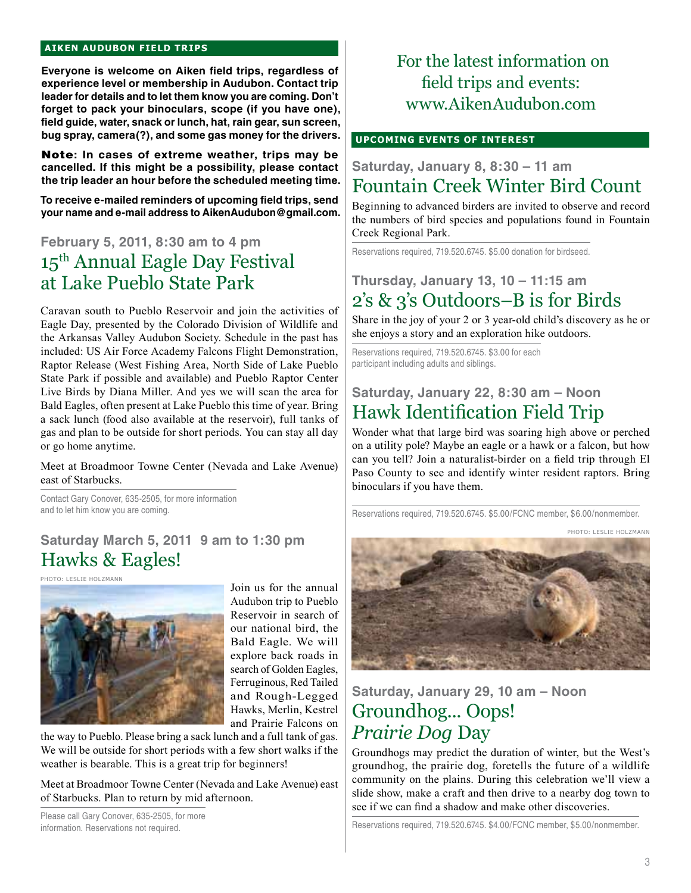#### **aiken audubon FIELD TRIPS**

**Everyone is welcome on Aiken field trips, regardless of experience level or membership in Audubon. Contact trip leader for details and to let them know you are coming. Don't forget to pack your binoculars, scope (if you have one), field guide, water, snack or lunch, hat, rain gear, sun screen, bug spray, camera(?), and some gas money for the drivers.** 

Note**: In cases of extreme weather, trips may be cancelled. If this might be a possibility, please contact the trip leader an hour before the scheduled meeting time.**

**To receive e-mailed reminders of upcoming field trips, send your name and e-mail address to AikenAudubon@gmail.com.**

### **February 5, 2011, 8:30 am to 4 pm** 15th Annual Eagle Day Festival at Lake Pueblo State Park

Caravan south to Pueblo Reservoir and join the activities of Eagle Day, presented by the Colorado Division of Wildlife and the Arkansas Valley Audubon Society. Schedule in the past has included: US Air Force Academy Falcons Flight Demonstration, Raptor Release (West Fishing Area, North Side of Lake Pueblo State Park if possible and available) and Pueblo Raptor Center Live Birds by Diana Miller. And yes we will scan the area for Bald Eagles, often present at Lake Pueblo this time of year. Bring a sack lunch (food also available at the reservoir), full tanks of gas and plan to be outside for short periods. You can stay all day or go home anytime.

Meet at Broadmoor Towne Center (Nevada and Lake Avenue) east of Starbucks.

Contact Gary Conover, 635-2505, for more information and to let him know you are coming.

### **Saturday March 5, 2011 9 am to 1:30 pm** Hawks & Eagles!

Photo: Leslie Holzmann



Join us for the annual Audubon trip to Pueblo Reservoir in search of our national bird, the Bald Eagle. We will explore back roads in search of Golden Eagles, Ferruginous, Red Tailed and Rough-Legged Hawks, Merlin, Kestrel and Prairie Falcons on

the way to Pueblo. Please bring a sack lunch and a full tank of gas. We will be outside for short periods with a few short walks if the weather is bearable. This is a great trip for beginners!

Meet at Broadmoor Towne Center (Nevada and Lake Avenue) east of Starbucks. Plan to return by mid afternoon.

Please call Gary Conover, 635-2505, for more information. Reservations not required.

### For the latest information on field trips and events: www.AikenAudubon.com

#### **UPCOMING EVENTS OF INTEREST**

### **Saturday, January 8, 8:30 – 11 am** Fountain Creek Winter Bird Count

Beginning to advanced birders are invited to observe and record the numbers of bird species and populations found in Fountain Creek Regional Park.

Reservations required, 719.520.6745. \$5.00 donation for birdseed.

### **Thursday, January 13, 10 – 11:15 am**  2's & 3's Outdoors–B is for Birds

Share in the joy of your 2 or 3 year-old child's discovery as he or she enjoys a story and an exploration hike outdoors.

Reservations required, 719.520.6745. \$3.00 for each participant including adults and siblings.

### **Saturday, January 22, 8:30 am – Noon** Hawk Identification Field Trip

Wonder what that large bird was soaring high above or perched on a utility pole? Maybe an eagle or a hawk or a falcon, but how can you tell? Join a naturalist-birder on a field trip through El Paso County to see and identify winter resident raptors. Bring binoculars if you have them.

Reservations required, 719.520.6745. \$5.00/FCNC member, \$6.00/nonmember.

Photo: Leslie Holzmann



### **Saturday, January 29, 10 am – Noon** Groundhog... Oops! *Prairie Dog* Day

Groundhogs may predict the duration of winter, but the West's groundhog, the prairie dog, foretells the future of a wildlife community on the plains. During this celebration we'll view a slide show, make a craft and then drive to a nearby dog town to see if we can find a shadow and make other discoveries.

Reservations required, 719.520.6745. \$4.00/FCNC member, \$5.00/nonmember.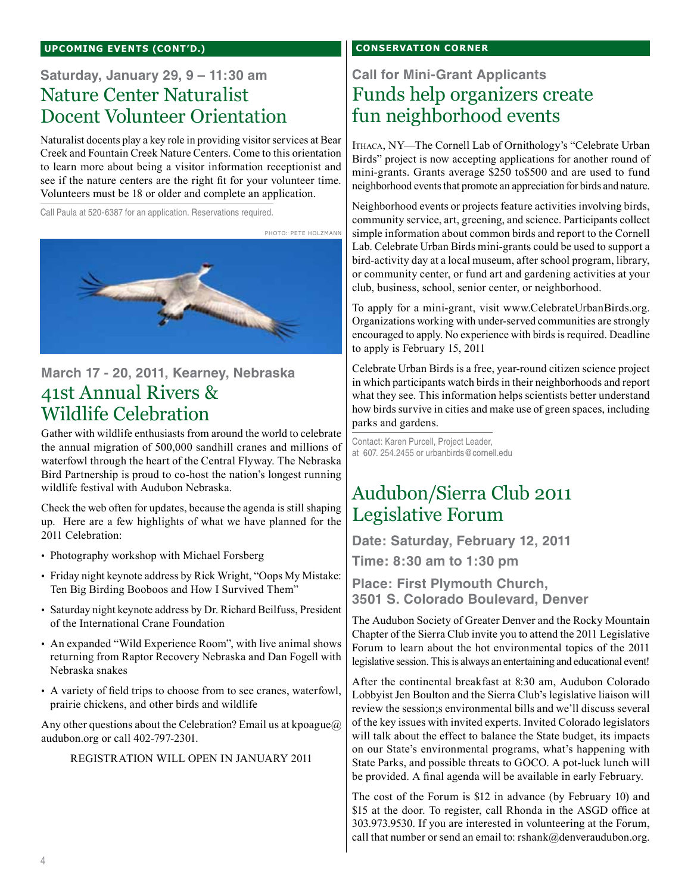#### **UPCOMING EVENTS (cont'd.)**

### **Saturday, January 29, 9 – 11:30 am**  Nature Center Naturalist Docent Volunteer Orientation

Naturalist docents play a key role in providing visitor services at Bear Creek and Fountain Creek Nature Centers. Come to this orientation to learn more about being a visitor information receptionist and see if the nature centers are the right fit for your volunteer time. Volunteers must be 18 or older and complete an application.

Call Paula at 520-6387 for an application. Reservations required.



### **March 17 - 20, 2011, Kearney, Nebraska** 41st Annual Rivers & Wildlife Celebration

Gather with wildlife enthusiasts from around the world to celebrate the annual migration of 500,000 sandhill cranes and millions of waterfowl through the heart of the Central Flyway. The Nebraska Bird Partnership is proud to co-host the nation's longest running wildlife festival with Audubon Nebraska.

Check the web often for updates, because the agenda is still shaping up. Here are a few highlights of what we have planned for the 2011 Celebration:

- Photography workshop with Michael Forsberg
- Friday night keynote address by Rick Wright, "Oops My Mistake: Ten Big Birding Booboos and How I Survived Them"
- Saturday night keynote address by Dr. Richard Beilfuss, President of the International Crane Foundation
- An expanded "Wild Experience Room", with live animal shows returning from Raptor Recovery Nebraska and Dan Fogell with Nebraska snakes
- A variety of field trips to choose from to see cranes, waterfowl, prairie chickens, and other birds and wildlife

Any other questions about the Celebration? Email us at kpoague@ audubon.org or call 402-797-2301.

#### REGISTRATION WILL OPEN IN JANUARY 2011

#### **Conservation corner**

### **Call for Mini-Grant Applicants** Funds help organizers create fun neighborhood events

Ithaca, NY—The Cornell Lab of Ornithology's "Celebrate Urban Birds" project is now accepting applications for another round of mini-grants. Grants average \$250 to\$500 and are used to fund neighborhood events that promote an appreciation for birds and nature.

Neighborhood events or projects feature activities involving birds, community service, art, greening, and science. Participants collect simple information about common birds and report to the Cornell Lab. Celebrate Urban Birds mini-grants could be used to support a bird-activity day at a local museum, after school program, library, or community center, or fund art and gardening activities at your club, business, school, senior center, or neighborhood.

To apply for a mini-grant, visit www.CelebrateUrbanBirds.org. Organizations working with under-served communities are strongly encouraged to apply. No experience with birds is required. Deadline to apply is February 15, 2011

Celebrate Urban Birds is a free, year-round citizen science project in which participants watch birds in their neighborhoods and report what they see. This information helps scientists better understand how birds survive in cities and make use of green spaces, including parks and gardens.

Contact: Karen Purcell, Project Leader, at 607. 254.2455 or urbanbirds@cornell.edu

### Audubon/Sierra Club 2011 Legislative Forum

**Date: Saturday, February 12, 2011**

**Time: 8:30 am to 1:30 pm**

**Place: First Plymouth Church, 3501 S. Colorado Boulevard, Denver**

The Audubon Society of Greater Denver and the Rocky Mountain Chapter of the Sierra Club invite you to attend the 2011 Legislative Forum to learn about the hot environmental topics of the 2011 legislative session. This is always an entertaining and educational event!

After the continental breakfast at 8:30 am, Audubon Colorado Lobbyist Jen Boulton and the Sierra Club's legislative liaison will review the session;s environmental bills and we'll discuss several of the key issues with invited experts. Invited Colorado legislators will talk about the effect to balance the State budget, its impacts on our State's environmental programs, what's happening with State Parks, and possible threats to GOCO. A pot-luck lunch will be provided. A final agenda will be available in early February.

The cost of the Forum is \$12 in advance (by February 10) and \$15 at the door. To register, call Rhonda in the ASGD office at 303.973.9530. If you are interested in volunteering at the Forum, call that number or send an email to: rshank@denveraudubon.org.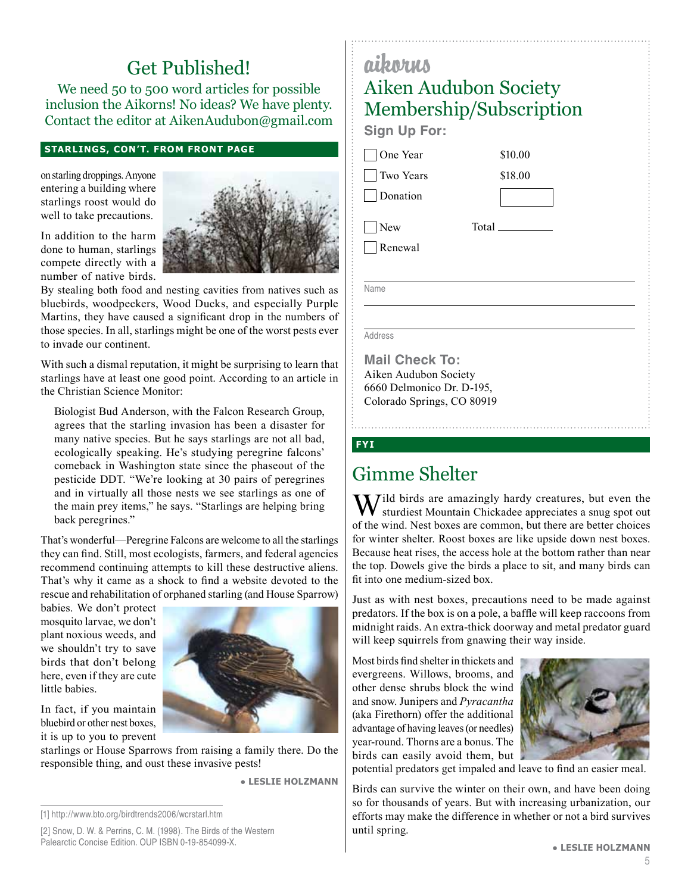## Get Published!

We need 50 to 500 word articles for possible inclusion the Aikorns! No ideas? We have plenty. Contact the editor at AikenAudubon@gmail.com

#### **Starlings, con't. from front page**

on starling droppings. Anyone entering a building where starlings roost would do well to take precautions.



compete directly with a number of native birds. By stealing both food and nesting cavities from natives such as bluebirds, woodpeckers, Wood Ducks, and especially Purple

Martins, they have caused a significant drop in the numbers of those species. In all, starlings might be one of the worst pests ever to invade our continent.

With such a dismal reputation, it might be surprising to learn that starlings have at least one good point. According to an article in the Christian Science Monitor:

Biologist Bud Anderson, with the Falcon Research Group, agrees that the starling invasion has been a disaster for many native species. But he says starlings are not all bad, ecologically speaking. He's studying peregrine falcons' comeback in Washington state since the phaseout of the pesticide DDT. "We're looking at 30 pairs of peregrines and in virtually all those nests we see starlings as one of the main prey items," he says. "Starlings are helping bring back peregrines."

That's wonderful—Peregrine Falcons are welcome to all the starlings they can find. Still, most ecologists, farmers, and federal agencies recommend continuing attempts to kill these destructive aliens. That's why it came as a shock to find a website devoted to the rescue and rehabilitation of orphaned starling (and House Sparrow)

babies. We don't protect mosquito larvae, we don't plant noxious weeds, and we shouldn't try to save birds that don't belong here, even if they are cute little babies.

In fact, if you maintain bluebird or other nest boxes, it is up to you to prevent



starlings or House Sparrows from raising a family there. Do the responsible thing, and oust these invasive pests!

● **Leslie Holzmann**

## aikorus Aiken Audubon Society Membership/Subscription

**Sign Up For:**

|  | One Year         |
|--|------------------|
|  | <b>Two Years</b> |

**Donation** 

 New Renewal Total

\$10.00 \$18.00

Name

Address

**Mail Check To:** Aiken Audubon Society 6660 Delmonico Dr. D-195, Colorado Springs, CO 80919

#### **fyi**

### Gimme Shelter

 $M^{j}$ ild birds are amazingly hardy creatures, but even the sturdiest Mountain Chickadee appreciates a snug spot out of the wind. Nest boxes are common, but there are better choices for winter shelter. Roost boxes are like upside down nest boxes. Because heat rises, the access hole at the bottom rather than near the top. Dowels give the birds a place to sit, and many birds can fit into one medium-sized box.

Just as with nest boxes, precautions need to be made against predators. If the box is on a pole, a baffle will keep raccoons from midnight raids. An extra-thick doorway and metal predator guard will keep squirrels from gnawing their way inside.

Most birds find shelter in thickets and evergreens. Willows, brooms, and other dense shrubs block the wind and snow. Junipers and *Pyracantha* (aka Firethorn) offer the additional advantage of having leaves (or needles) year-round. Thorns are a bonus. The birds can easily avoid them, but



potential predators get impaled and leave to find an easier meal.

Birds can survive the winter on their own, and have been doing so for thousands of years. But with increasing urbanization, our efforts may make the difference in whether or not a bird survives until spring.

<sup>[1]</sup> http://www.bto.org/birdtrends2006/wcrstarl.htm

<sup>[2]</sup> Snow, D. W. & Perrins, C. M. (1998). The Birds of the Western Palearctic Concise Edition. OUP ISBN 0-19-854099-X.